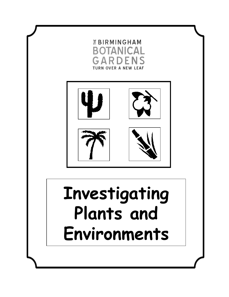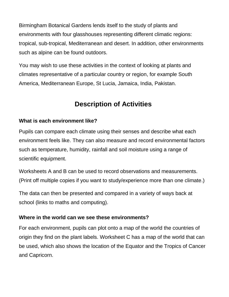Birmingham Botanical Gardens lends itself to the study of plants and environments with four glasshouses representing different climatic regions: tropical, sub-tropical, Mediterranean and desert. In addition, other environments such as alpine can be found outdoors.

You may wish to use these activities in the context of looking at plants and climates representative of a particular country or region, for example South America, Mediterranean Europe, St Lucia, Jamaica, India, Pakistan.

## **Description of Activities**

## **What is each environment like?**

Pupils can compare each climate using their senses and describe what each environment feels like. They can also measure and record environmental factors such as temperature, humidity, rainfall and soil moisture using a range of scientific equipment.

Worksheets A and B can be used to record observations and measurements. (Print off multiple copies if you want to study/experience more than one climate.)

The data can then be presented and compared in a variety of ways back at school (links to maths and computing).

## **Where in the world can we see these environments?**

For each environment, pupils can plot onto a map of the world the countries of origin they find on the plant labels. Worksheet C has a map of the world that can be used, which also shows the location of the Equator and the Tropics of Cancer and Capricorn.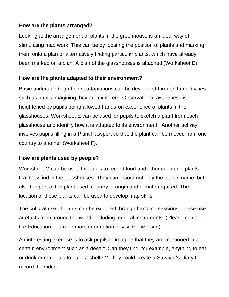## **How are the plants arranged?**

Looking at the arrangement of plants in the greenhouse is an ideal way of stimulating map work. This can be by locating the position of plants and marking them onto a plan or alternatively finding particular plants, which have already been marked on a plan. A plan of the glasshouses is attached (Worksheet D).

## **How are the plants adapted to their environment?**

Basic understanding of plant adaptations can be developed through fun activities such as pupils imagining they are explorers. Observational awareness is heightened by pupils being allowed hands-on experience of plants in the glasshouses. Worksheet E can be used for pupils to sketch a plant from each glasshouse and identify how it is adapted to its environment. Another activity involves pupils filling in a Plant Passport so that the plant can be moved from one country to another (Worksheet F).

## **How are plants used by people?**

Worksheet G can be used for pupils to record food and other economic plants that they find in the glasshouses. They can record not only the plant's name, but also the part of the plant used, country of origin and climate required. The location of these plants can be used to develop map skills.

The cultural use of plants can be explored through handling sessions. These use artefacts from around the world, including musical instruments. (Please contact the Education Team for more information or visit the website).

An interesting exercise is to ask pupils to imagine that they are marooned in a certain environment such as a desert. Can they find, for example, anything to eat or drink or materials to build a shelter? They could create a Survivor's Diary to record their ideas.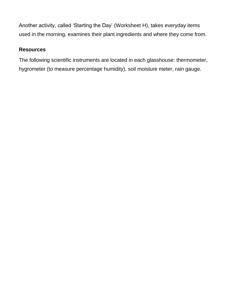Another activity, called 'Starting the Day' (Worksheet H), takes everyday items used in the morning, examines their plant ingredients and where they come from.

## **Resources**

The following scientific instruments are located in each glasshouse: thermometer, hygrometer (to measure percentage humidity), soil moisture meter, rain gauge.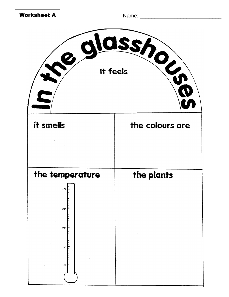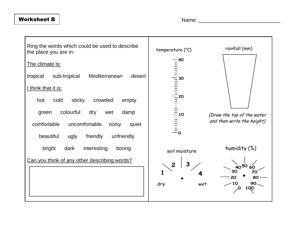#### Worksheet B  $\parallel$

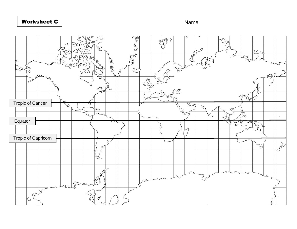## Worksheet C  $\vert$

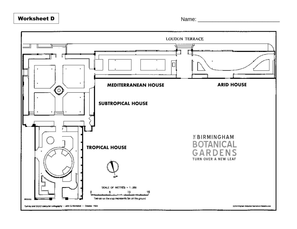## **Worksheet D** | **Name:** 2008 | 2008 | 2008 | 2008 | 2019 | 2019 | 2019 | 2019 | 2019 | 2019 | 2019 | 2019 | 2019 | 2019 | 2019 | 2019 | 2019 | 2019 | 2019 | 2019 | 2019 | 2019 | 2019 | 2019 | 2019 | 2019 | 2019 | 2019 | 20

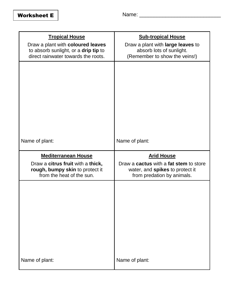| <b>Tropical House</b>                                                                                            | <b>Sub-tropical House</b>                                                                      |
|------------------------------------------------------------------------------------------------------------------|------------------------------------------------------------------------------------------------|
| Draw a plant with coloured leaves<br>to absorb sunlight, or a drip tip to<br>direct rainwater towards the roots. | Draw a plant with large leaves to<br>absorb lots of sunlight.<br>(Remember to show the veins!) |
|                                                                                                                  |                                                                                                |
| Name of plant:                                                                                                   | Name of plant:                                                                                 |
|                                                                                                                  |                                                                                                |
| <b>Mediterranean House</b><br>Draw a citrus fruit with a thick,                                                  | <b>Arid House</b><br>Draw a <b>cactus</b> with a <b>fat stem</b> to store                      |
| rough, bumpy skin to protect it<br>from the heat of the sun.                                                     | water, and spikes to protect it<br>from predation by animals.                                  |
|                                                                                                                  |                                                                                                |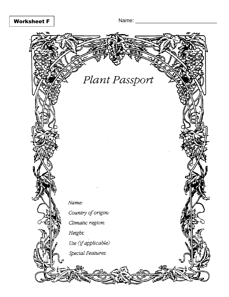## **Worksheet F**

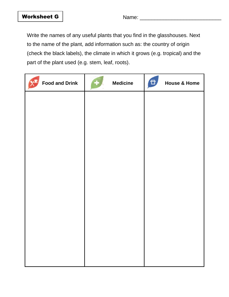Write the names of any useful plants that you find in the glasshouses. Next to the name of the plant, add information such as: the country of origin (check the black labels), the climate in which it grows (e.g. tropical) and the part of the plant used (e.g. stem, leaf, roots).

| <b>Food and Drink</b> | <b>Medicine</b> | 日<br><b>House &amp; Home</b> |
|-----------------------|-----------------|------------------------------|
|                       |                 |                              |
|                       |                 |                              |
|                       |                 |                              |
|                       |                 |                              |
|                       |                 |                              |
|                       |                 |                              |
|                       |                 |                              |
|                       |                 |                              |
|                       |                 |                              |
|                       |                 |                              |
|                       |                 |                              |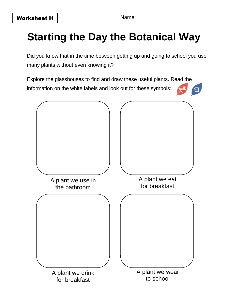## Worksheet H Name: \_\_\_\_\_\_\_\_\_\_\_\_\_\_\_\_\_\_\_\_\_\_\_\_\_\_\_\_

## **Starting the Day the Botanical Way**

Did you know that in the time between getting up and going to school you use many plants without even knowing it?

Explore the glasshouses to find and draw these useful plants. Read the information on the white labels and look out for these symbols: